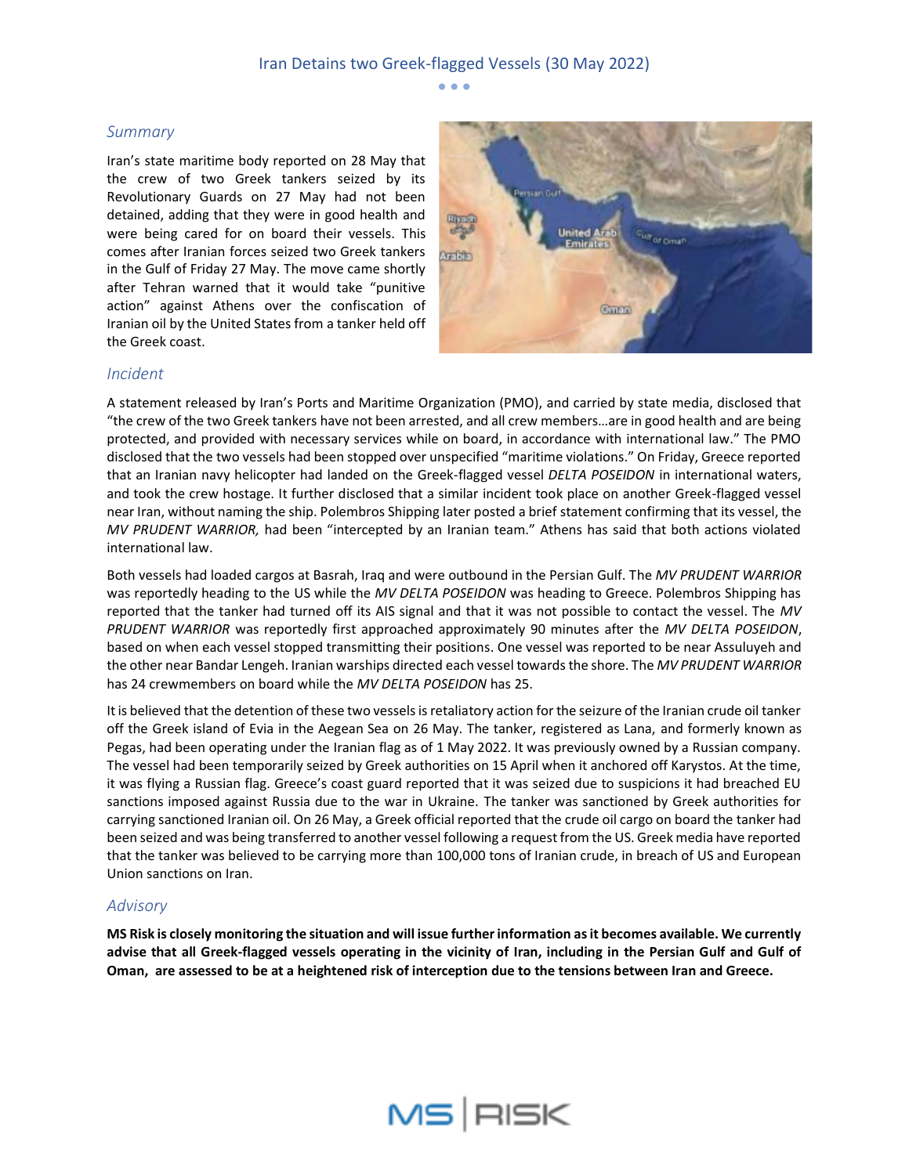• • •

### *Summary*

Iran's state maritime body reported on 28 May that the crew of two Greek tankers seized by its Revolutionary Guards on 27 May had not been detained, adding that they were in good health and were being cared for on board their vessels. This comes after Iranian forces seized two Greek tankers in the Gulf of Friday 27 May. The move came shortly after Tehran warned that it would take "punitive action" against Athens over the confiscation of Iranian oil by the United States from a tanker held off the Greek coast.



#### *Incident*

A statement released by Iran's Ports and Maritime Organization (PMO), and carried by state media, disclosed that "the crew of the two Greek tankers have not been arrested, and all crew members…are in good health and are being protected, and provided with necessary services while on board, in accordance with international law." The PMO disclosed that the two vessels had been stopped over unspecified "maritime violations." On Friday, Greece reported that an Iranian navy helicopter had landed on the Greek-flagged vessel *DELTA POSEIDON* in international waters, and took the crew hostage. It further disclosed that a similar incident took place on another Greek-flagged vessel near Iran, without naming the ship. Polembros Shipping later posted a brief statement confirming that its vessel, the *MV PRUDENT WARRIOR,* had been "intercepted by an Iranian team." Athens has said that both actions violated international law.

Both vessels had loaded cargos at Basrah, Iraq and were outbound in the Persian Gulf. The *MV PRUDENT WARRIOR* was reportedly heading to the US while the *MV DELTA POSEIDON* was heading to Greece. Polembros Shipping has reported that the tanker had turned off its AIS signal and that it was not possible to contact the vessel. The *MV PRUDENT WARRIOR* was reportedly first approached approximately 90 minutes after the *MV DELTA POSEIDON*, based on when each vessel stopped transmitting their positions. One vessel was reported to be near Assuluyeh and the other near Bandar Lengeh. Iranian warships directed each vessel towards the shore. The *MV PRUDENT WARRIOR* has 24 crewmembers on board while the *MV DELTA POSEIDON* has 25.

It is believed that the detention of these two vessels is retaliatory action for the seizure of the Iranian crude oil tanker off the Greek island of Evia in the Aegean Sea on 26 May. The tanker, registered as Lana, and formerly known as Pegas, had been operating under the Iranian flag as of 1 May 2022. It was previously owned by a Russian company. The vessel had been temporarily seized by Greek authorities on 15 April when it anchored off Karystos. At the time, it was flying a Russian flag. Greece's coast guard reported that it was seized due to suspicions it had breached EU sanctions imposed against Russia due to the war in Ukraine. The tanker was sanctioned by Greek authorities for carrying sanctioned Iranian oil. On 26 May, a Greek official reported that the crude oil cargo on board the tanker had been seized and was being transferred to another vessel following a request from the US. Greek media have reported that the tanker was believed to be carrying more than 100,000 tons of Iranian crude, in breach of US and European Union sanctions on Iran.

## *Advisory*

**MS Risk is closely monitoring the situation and will issue further information as it becomes available. We currently advise that all Greek-flagged vessels operating in the vicinity of Iran, including in the Persian Gulf and Gulf of Oman, are assessed to be at a heightened risk of interception due to the tensions between Iran and Greece.**